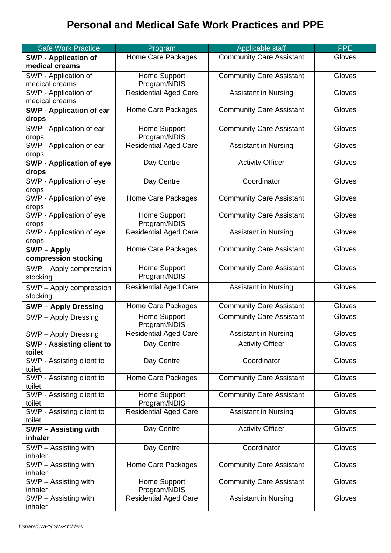## **Personal and Medical Safe Work Practices and PPE**

| <b>Safe Work Practice</b>         | Program                      | Applicable staff                | <b>PPE</b> |
|-----------------------------------|------------------------------|---------------------------------|------------|
| <b>SWP - Application of</b>       | Home Care Packages           | <b>Community Care Assistant</b> | Gloves     |
| medical creams                    |                              |                                 |            |
| SWP - Application of              | Home Support                 | <b>Community Care Assistant</b> | Gloves     |
| medical creams                    | Program/NDIS                 |                                 |            |
| SWP - Application of              | <b>Residential Aged Care</b> | <b>Assistant in Nursing</b>     | Gloves     |
| medical creams                    |                              |                                 |            |
| <b>SWP - Application of ear</b>   | Home Care Packages           | <b>Community Care Assistant</b> | Gloves     |
| drops                             |                              |                                 |            |
| SWP - Application of ear          | Home Support                 | <b>Community Care Assistant</b> | Gloves     |
| drops                             | Program/NDIS                 |                                 |            |
| SWP - Application of ear          | Residential Aged Care        | <b>Assistant in Nursing</b>     | Gloves     |
| drops                             |                              |                                 |            |
| <b>SWP - Application of eye</b>   | Day Centre                   | <b>Activity Officer</b>         | Gloves     |
| drops                             |                              |                                 |            |
| SWP - Application of eye          | Day Centre                   | Coordinator                     | Gloves     |
| drops                             |                              |                                 |            |
| SWP - Application of eye          | Home Care Packages           | <b>Community Care Assistant</b> | Gloves     |
| drops<br>SWP - Application of eye | Home Support                 | <b>Community Care Assistant</b> | Gloves     |
| drops                             | Program/NDIS                 |                                 |            |
| SWP - Application of eye          | <b>Residential Aged Care</b> | <b>Assistant in Nursing</b>     | Gloves     |
| drops                             |                              |                                 |            |
| SWP-Apply                         | Home Care Packages           | <b>Community Care Assistant</b> | Gloves     |
| compression stocking              |                              |                                 |            |
| SWP - Apply compression           | Home Support                 | <b>Community Care Assistant</b> | Gloves     |
| stocking                          | Program/NDIS                 |                                 |            |
| SWP - Apply compression           | <b>Residential Aged Care</b> | <b>Assistant in Nursing</b>     | Gloves     |
| stocking                          |                              |                                 |            |
| <b>SWP - Apply Dressing</b>       | Home Care Packages           | <b>Community Care Assistant</b> | Gloves     |
|                                   | Home Support                 | <b>Community Care Assistant</b> | Gloves     |
| SWP - Apply Dressing              | Program/NDIS                 |                                 |            |
| SWP - Apply Dressing              | <b>Residential Aged Care</b> | <b>Assistant in Nursing</b>     | Gloves     |
| <b>SWP - Assisting client to</b>  | Day Centre                   | <b>Activity Officer</b>         | Gloves     |
| toilet                            |                              |                                 |            |
| SWP - Assisting client to         | Day Centre                   | Coordinator                     | Gloves     |
| toilet                            |                              |                                 |            |
| SWP - Assisting client to         | Home Care Packages           | <b>Community Care Assistant</b> | Gloves     |
| toilet                            |                              |                                 |            |
| SWP - Assisting client to         | Home Support                 | <b>Community Care Assistant</b> | Gloves     |
| toilet                            | Program/NDIS                 |                                 |            |
| SWP - Assisting client to         | <b>Residential Aged Care</b> | <b>Assistant in Nursing</b>     | Gloves     |
| toilet                            |                              |                                 |            |
| <b>SWP-Assisting with</b>         | Day Centre                   | <b>Activity Officer</b>         | Gloves     |
| inhaler                           |                              |                                 |            |
| SWP - Assisting with              | Day Centre                   | Coordinator                     | Gloves     |
| inhaler                           |                              |                                 |            |
| SWP - Assisting with              | Home Care Packages           | <b>Community Care Assistant</b> | Gloves     |
| inhaler<br>SWP - Assisting with   | Home Support                 | <b>Community Care Assistant</b> | Gloves     |
| inhaler                           | Program/NDIS                 |                                 |            |
| SWP - Assisting with              | <b>Residential Aged Care</b> | <b>Assistant in Nursing</b>     | Gloves     |
| inhaler                           |                              |                                 |            |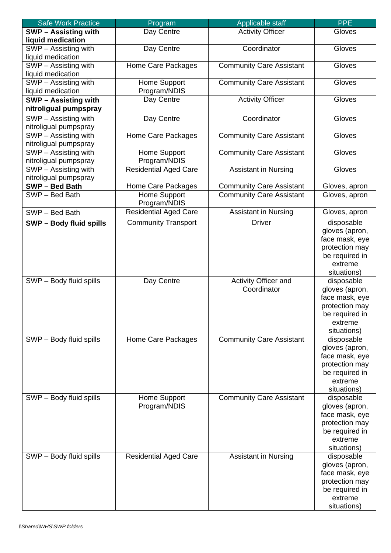| <b>Safe Work Practice</b>                | Program                      | Applicable staff                | <b>PPE</b>                       |
|------------------------------------------|------------------------------|---------------------------------|----------------------------------|
| <b>SWP - Assisting with</b>              | Day Centre                   | <b>Activity Officer</b>         | Gloves                           |
| liquid medication                        |                              |                                 |                                  |
| SWP - Assisting with                     | Day Centre                   | Coordinator                     | Gloves                           |
| liquid medication                        |                              |                                 |                                  |
| SWP - Assisting with                     | Home Care Packages           | <b>Community Care Assistant</b> | Gloves                           |
| liquid medication                        |                              |                                 |                                  |
| $\overline{\text{SWP}}$ – Assisting with | Home Support                 | <b>Community Care Assistant</b> | Gloves                           |
| liquid medication                        | Program/NDIS                 |                                 |                                  |
| <b>SWP - Assisting with</b>              | Day Centre                   | <b>Activity Officer</b>         | Gloves                           |
| nitroligual pumpspray                    |                              |                                 |                                  |
| SWP - Assisting with                     | Day Centre                   | Coordinator                     | Gloves                           |
| nitroligual pumpspray                    |                              |                                 |                                  |
| SWP - Assisting with                     | Home Care Packages           | <b>Community Care Assistant</b> | Gloves                           |
| nitroligual pumpspray                    |                              |                                 |                                  |
| SWP - Assisting with                     | Home Support                 | <b>Community Care Assistant</b> | Gloves                           |
| nitroligual pumpspray                    | Program/NDIS                 |                                 |                                  |
| SWP - Assisting with                     | <b>Residential Aged Care</b> | <b>Assistant in Nursing</b>     | Gloves                           |
| nitroligual pumpspray                    |                              |                                 |                                  |
| SWP-Bed Bath                             | Home Care Packages           | <b>Community Care Assistant</b> | Gloves, apron                    |
| SWP-Bed Bath                             | Home Support<br>Program/NDIS | <b>Community Care Assistant</b> | Gloves, apron                    |
| SWP-Bed Bath                             | Residential Aged Care        | <b>Assistant in Nursing</b>     | Gloves, apron                    |
| <b>SWP-Body fluid spills</b>             | <b>Community Transport</b>   | <b>Driver</b>                   | disposable                       |
|                                          |                              |                                 | gloves (apron,                   |
|                                          |                              |                                 | face mask, eye                   |
|                                          |                              |                                 | protection may                   |
|                                          |                              |                                 | be required in                   |
|                                          |                              |                                 | extreme                          |
|                                          |                              |                                 | situations)                      |
| SWP - Body fluid spills                  | Day Centre                   | Activity Officer and            | disposable                       |
|                                          |                              | Coordinator                     | gloves (apron,                   |
|                                          |                              |                                 | face mask, eye                   |
|                                          |                              |                                 | protection may                   |
|                                          |                              |                                 | be required in                   |
|                                          |                              |                                 | extreme                          |
|                                          |                              |                                 | situations)                      |
| SWP - Body fluid spills                  | Home Care Packages           | <b>Community Care Assistant</b> | disposable                       |
|                                          |                              |                                 | gloves (apron,                   |
|                                          |                              |                                 | face mask, eye<br>protection may |
|                                          |                              |                                 | be required in                   |
|                                          |                              |                                 | extreme                          |
|                                          |                              |                                 | situations)                      |
| SWP - Body fluid spills                  | Home Support                 | <b>Community Care Assistant</b> | disposable                       |
|                                          | Program/NDIS                 |                                 | gloves (apron,                   |
|                                          |                              |                                 | face mask, eye                   |
|                                          |                              |                                 | protection may                   |
|                                          |                              |                                 | be required in                   |
|                                          |                              |                                 | extreme                          |
|                                          |                              |                                 | situations)                      |
| SWP - Body fluid spills                  | <b>Residential Aged Care</b> | <b>Assistant in Nursing</b>     | disposable                       |
|                                          |                              |                                 | gloves (apron,                   |
|                                          |                              |                                 | face mask, eye                   |
|                                          |                              |                                 | protection may                   |
|                                          |                              |                                 | be required in                   |
|                                          |                              |                                 | extreme                          |
|                                          |                              |                                 | situations)                      |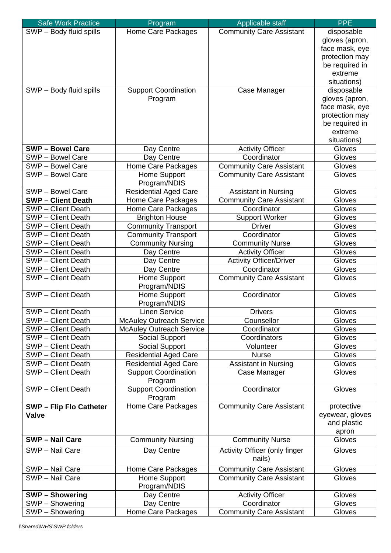| <b>Safe Work Practice</b>                | Program                                | Applicable staff                        | <b>PPE</b>       |
|------------------------------------------|----------------------------------------|-----------------------------------------|------------------|
| SWP - Body fluid spills                  | Home Care Packages                     | <b>Community Care Assistant</b>         | disposable       |
|                                          |                                        |                                         | gloves (apron,   |
|                                          |                                        |                                         | face mask, eye   |
|                                          |                                        |                                         | protection may   |
|                                          |                                        |                                         | be required in   |
|                                          |                                        |                                         | extreme          |
|                                          |                                        |                                         | situations)      |
| SWP - Body fluid spills                  | <b>Support Coordination</b>            | Case Manager                            | disposable       |
|                                          | Program                                |                                         | gloves (apron,   |
|                                          |                                        |                                         | face mask, eye   |
|                                          |                                        |                                         | protection may   |
|                                          |                                        |                                         | be required in   |
|                                          |                                        |                                         | extreme          |
|                                          |                                        |                                         | situations)      |
| <b>SWP-Bowel Care</b>                    | Day Centre                             | <b>Activity Officer</b><br>Coordinator  | Gloves<br>Gloves |
| SWP - Bowel Care<br>SWP - Bowel Care     | Day Centre                             |                                         | Gloves           |
|                                          | Home Care Packages                     | <b>Community Care Assistant</b>         |                  |
| SWP - Bowel Care                         | Home Support<br>Program/NDIS           | <b>Community Care Assistant</b>         | Gloves           |
| SWP - Bowel Care                         | <b>Residential Aged Care</b>           | <b>Assistant in Nursing</b>             | Gloves           |
| <b>SWP-Client Death</b>                  | Home Care Packages                     | <b>Community Care Assistant</b>         | Gloves           |
| SWP - Client Death                       | Home Care Packages                     | Coordinator                             | Gloves           |
| <b>SWP</b> - Client Death                | <b>Brighton House</b>                  | <b>Support Worker</b>                   | Gloves           |
| SWP - Client Death                       | <b>Community Transport</b>             | <b>Driver</b>                           | Gloves           |
| SWP - Client Death                       | <b>Community Transport</b>             | Coordinator                             | Gloves           |
| SWP - Client Death                       | <b>Community Nursing</b>               | <b>Community Nurse</b>                  | Gloves           |
| <b>SWP</b> - Client Death                | Day Centre                             | <b>Activity Officer</b>                 | Gloves           |
| <b>SWP</b> - Client Death                | Day Centre                             | <b>Activity Officer/Driver</b>          | Gloves           |
| SWP - Client Death                       | Day Centre                             | Coordinator                             | Gloves           |
| SWP - Client Death                       | Home Support                           | <b>Community Care Assistant</b>         | Gloves           |
|                                          | Program/NDIS                           |                                         |                  |
| SWP - Client Death                       | Home Support                           | Coordinator                             | Gloves           |
|                                          | Program/NDIS                           |                                         |                  |
| SWP - Client Death                       | <b>Linen Service</b>                   | <b>Drivers</b>                          | Gloves           |
| SWP - Client Death                       | <b>McAuley Outreach Service</b>        | Counsellor                              | Gloves           |
| SWP - Client Death                       | <b>McAuley Outreach Service</b>        | Coordinator                             | Gloves           |
| SWP - Client Death                       | Social Support                         | Coordinators                            | Gloves           |
| SWP - Client Death                       | Social Support                         | Volunteer                               | Gloves           |
| SWP - Client Death                       | <b>Residential Aged Care</b>           | <b>Nurse</b>                            | Gloves           |
| SWP - Client Death<br>SWP - Client Death | <b>Residential Aged Care</b>           | <b>Assistant in Nursing</b>             | Gloves           |
|                                          | <b>Support Coordination</b><br>Program | Case Manager                            | Gloves           |
| SWP - Client Death                       | <b>Support Coordination</b>            | Coordinator                             | Gloves           |
|                                          | Program                                |                                         |                  |
| <b>SWP - Flip Flo Catheter</b>           | Home Care Packages                     | <b>Community Care Assistant</b>         | protective       |
| <b>Valve</b>                             |                                        |                                         | eyewear, gloves  |
|                                          |                                        |                                         | and plastic      |
|                                          |                                        |                                         | apron            |
| <b>SWP - Nail Care</b>                   | <b>Community Nursing</b>               | <b>Community Nurse</b>                  | Gloves           |
| SWP - Nail Care                          | Day Centre                             | Activity Officer (only finger<br>nails) | Gloves           |
| SWP - Nail Care                          | Home Care Packages                     | <b>Community Care Assistant</b>         | Gloves           |
| SWP - Nail Care                          | Home Support                           | <b>Community Care Assistant</b>         | Gloves           |
|                                          | Program/NDIS                           |                                         |                  |
| <b>SWP-Showering</b>                     | Day Centre                             | <b>Activity Officer</b>                 | Gloves           |
| SWP - Showering                          | Day Centre                             | Coordinator                             | Gloves           |
| SWP - Showering                          | Home Care Packages                     | <b>Community Care Assistant</b>         | Gloves           |